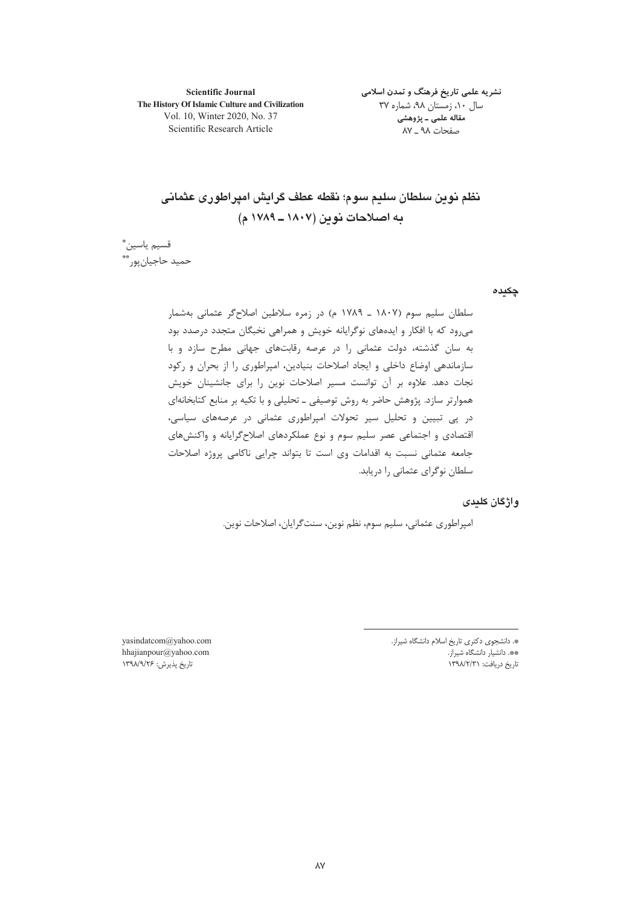**Scientific Journal** The History Of Islamic Culture and Civilization Vol. 10, Winter 2020, No. 37 Scientific Research Article

نشریه علمی تاریخ فرهنگ و تمدن اسلامی سال ۱۰، زمستان ۹۸، شماره ۳۷ مقاله علمی ـ پژوهشی صفحات ۹۸ \_ ۸۷

نظم نوين سلطان سليم سوم؛ نقطه عطف گرايش اميراطوري عثماني ده اصلاحات نوین (۱۸۰۷ ـ ۱۷۸۹ م)

قسيم ياسين\* حميد حاجيان يور \*

چکیدہ

سلطان سليم سوم (١٨٠٧ ـ ١٧٨٩ م) در زمره سلاطين اصلاح گر عثماني بهشمار میرود که با افکار و ایدههای نوگرایانه خویش و همراهی نخبگان متجدد درصدد بود به سان گذشته، دولت عثمانی را در عرصه رقابتهای جهانی مطرح سازد و با سازماندهی اوضاع داخلی و ایجاد اصلاحات بنیادین، امیراطوری را از بحران و رکود نجات دهد. علاوه بر آن توانست مسیر اصلاحات نوین را برای جانشینان خویش هموارتر سازد. پژوهش حاضر به روش توصیفی ـ تحلیلی و با تکیه بر منابع کتابخانهای در پی تبیین و تحلیل سیر تحولات امپراطوری عثمانی در عرصههای سیاسی، اقتصادی و اجتماعی عصر سلیم سوم و نوع عملکردهای اصلاح گرایانه و واکنشهای جامعه عثمانی نسبت به اقدامات وی است تا بتواند چرایی ناکامی پروژه اصلاحات سلطان نوگرای عثمانی را دریابد.

## و اژگان کلیدی

امپراطوري عثماني، سليم سوم، نظم نوين، سنت گرايان، اصلاحات نوين.

\*. دانشجوی دکتری تاریخ اسلام دانشگاه شیراز. \*\*. دانشیار دانشگاه شیراز. تاریخ دریافت: ۱۳۹۸/۲/۳۱

yasindatcom@yahoo.com hhajianpour@yahoo.com تاريخ پذيرش: ۱۳۹۸/۹/۲۶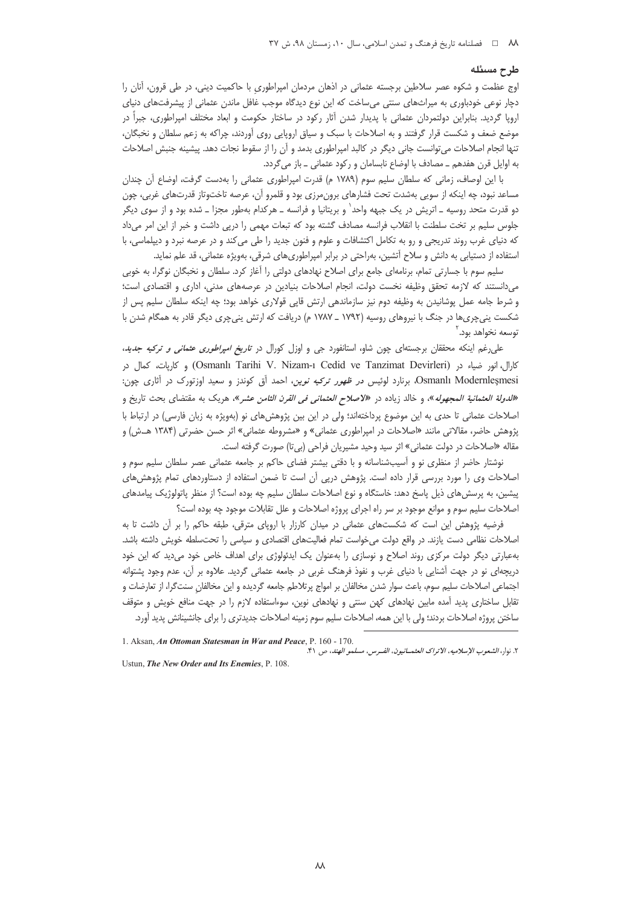### طرح مسئله

اوج عظمت و شکوه عصر سلاطین برجسته عثمانی در اذهان مردمان امپراطوری با حاکمیت دینی، در طی قرون، آنان را دچار نوعی خودباوری به میراثهای سنتی میساخت که این نوع دیدگاه موجب غافل ماندن عثمانی از پیشرفتهای دنیای اروپا گردید. بنابراین دولتمردان عثمانی با پدیدار شدن آثار رکود در ساختار حکومت و ابعاد مختلف امپراطوری، جبراً در موضع ضعف و شکست قرار گرفتند و به اصلاحات با سبک و سیاق اروپایی روی آوردند، چراکه به زعم سلطان و نخبگان، تنها انجام اصلاحات می توانست جانی دیگر در کالبد امیراطوری بدمد و آن را از سقوط نجات دهد. پیشینه جنبش اصلاحات به اوایل قرن هفدهم ـ مصادف با اوضاع نابسامان و رکود عثمانی ـ باز میگردد.

با این اوصاف، زمانی که سلطان سلیم سوم (۱۷۸۹ م) قدرت امپراطوری عثمانی را بهدست گرفت، اوضاع آن چندان مساعد نبود، چه اینکه از سویی بهشدت تحت فشارهای برون،مرزی بود و قلمرو آن، عرصه تاختوتاز قدرتهای غربی، چون دو قدرت متحد روسیه ــ اتریش در یک جبهه واحد` و بریتانیا و فرانسه ــ هرکدام بهطور مجزا ــ شده بود و از سوی دیگر جلوس سلیم بر تخت سلطنت با انقلاب فرانسه مصادف گشته بود که تبعات مهمی را درپی داشت و خبر از این امر میداد که دنیای غرب روند تدریجی و رو به تکامل اکتشافات و علوم و فنون جدید را طی میکند و در عرصه نبرد و دیپلماسی، با استفاده از دستیابی به دانش و سلاح آتشین، بهراحتی در برابر امپراطوری۱های شرقی، بهویژه عثمانی، قد علم نماید.

سلیم سوم با جسارتی تمام، برنامهای جامع برای اصلاح نهادهای دولتی را آغاز کرد. سلطان و نخبگان نوگرا، به خوبی میدانستند که لازمه تحقق وظیفه نخست دولت، انجام اصلاحات بنیادین در عرصههای مدنی، اداری و اقتصادی است؛ و شرط جامه عمل پوشانیدن به وظیفه دوم نیز سازماندهی ارتش قاپی قولاری خواهد بود؛ چه اینکه سلطان سلیم پس از شکست ینیچریها در جنگ با نیروهای روسیه (۱۷۹۲ \_ ۱۷۸۷ م) دریافت که ارتش ینیچری دیگر قادر به همگام شدن با توسعه نخواهد بود. ٔ

علی رغم اینکه محققان برجستهای چون شاو، استانفورد جی و اوزل کورال در تا*ریخ امپراطوری عثمانی و ترکیه جدید*. كارال، انور ضياء در (Osmanlı Tarihi V. Nizam-ı Cedid ve Tanzimat Devirleri) و كاريات، كمال در Osmanlı Modernleşmesi، برنارد لوئیس *در ظهور ترکیه نوین*، احمد أق کوندز و سعید اوزتورک در آثاری چون: «*للدولة العثمانية المجهوله*»، و خالد زياده در «*لاصلاح العثماني في القرن الثامن عشر*»، هريک به مقتضاي بحث تاريخ و اصلاحات عثمانی تا حدی به این موضوع پرداختهاند؛ ولی در این بین پژوهشهای نو (بهویژه به زبان فارسی) در ارتباط با یژوهش حاضر، مقالاتی مانند «اصلاحات در امپراطوری عثمانی» و «مشروطه عثمانی» اثر حسن حضرتی (۱۳۸۴ هـ.ش) و مقاله «اصلاحات در دولت عثماني» اثر سيد وحيد مشيريان فراحي (بي¤ا) صورت گرفته است.

نوشتار حاضر از منظری نو و آسیبشناسانه و با دقتی بیشتر فضای حاکم بر جامعه عثمانی عصر سلطان سلیم سوم و اصلاحات وی را مورد بررسی قرار داده است. پژوهش درپی آن است تا ضمن استفاده از دستاوردهای تمام پژوهشهای پیشین، به پرسش های ذیل پاسخ دهد: خاستگاه و نوع اصلاحات سلطان سلیم چه بوده است؟ از منظر پاتولوژیک پیامدهای اصلاحات سلیم سوم و موانع موجود بر سر راه اجرای پروژه اصلاحات و علل تقابلات موجود چه بوده است؟

فرضیه پژوهش این است که شکستهای عثمانی در میدان کارزار با اروپای مترقی، طبقه حاکم را بر آن داشت تا به اصلاحات نظامی دست یازند. در واقع دولت می خواست تمام فعالیتهای اقتصادی و سیاسی را تحتسلطه خویش داشته باشد. بهعبارتی دیگر دولت مرکزی روند اصلاح و نوسازی را بهعنوان یک ایدئولوژی برای اهداف خاص خود میدید که این خود دریچهای نو در جهت اشنایی با دنیای غرب و نفوذ فرهنگ غربی در جامعه عثمانی گردید. علاوه بر آن، عدم وجود پشتوانه اجتماعی اصلاحات سلیم سوم، باعث سوار شدن مخالفان بر امواج پرتلاطم جامعه گردیده و این مخالفان سنتگرا، از تعارضات و تقابل ساختاری پدید آمده مابین نهادهای کهن سنتی و نهادهای نوین، سوءاستفاده لازم را در جهت منافع خویش و متوقف ساختن پروژه اصلاحات بردند؛ ولی با این همه، اصلاحات سلیم سوم زمینه اصلاحات جدیدتری را برای جانشینانش پدید آورد.

Ustun, The New Order and Its Enemies, P. 108.

<sup>1.</sup> Aksan, An Ottoman Statesman in War and Peace, P. 160 - 170. ٢. نها, ، الشعوب الإسلاميه ، الاتراك العثمــانيون، الفــرس، مسلمو الهند، ص ٤١.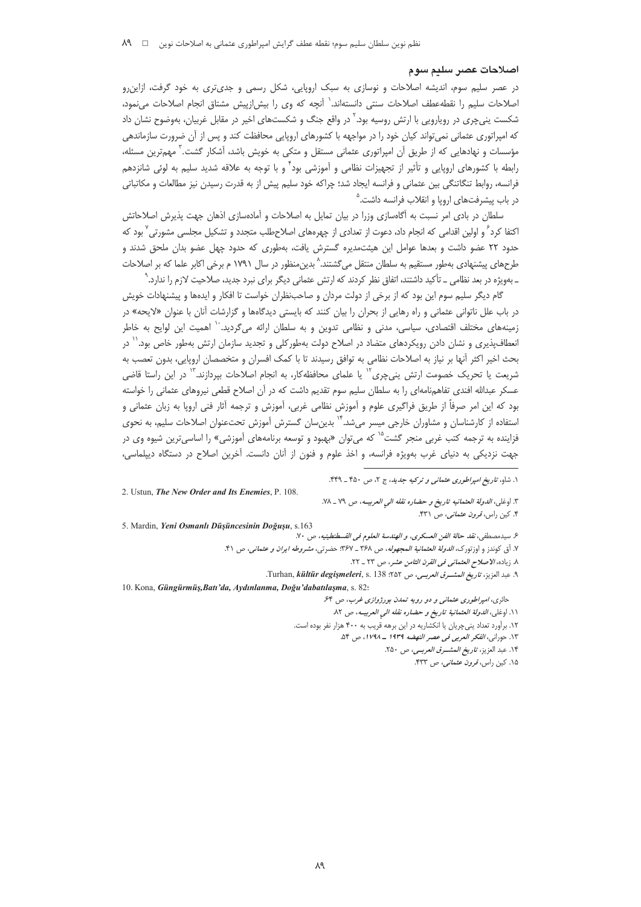### اصلاحات عصن سليم سوم

در عصر سلیم سوم، اندیشه اصلاحات و نوسازی به سبک اروپایی، شکل رسمی و جدیتری به خود گرفت، ازاین رو اصلاحات سلیم را نقطهعطف اصلاحات سنتی دانستهاند.<sup>\</sup> آنچه که وی را بیش!زییش مشتاق انجام اصلاحات می،نمود، شکست پنیچری در رویارویی با ارتش روسیه بود.<sup>۲</sup> در واقع جنگ و شکستهای اخیر در مقابل غربیان، بهوضوح نشان داد که امپراتوری عثمانی نمی تواند کیان خود را در مواجهه با کشورهای اروپایی محافظت کند و پس از آن ضرورت سازماندهی مؤسسات و نهادهایی که از طریق آن امپراتوری عثمانی مستقل و متکی به خویش باشد، آشکار گشت.<sup>۳</sup> مهم¤رین مسئله، رابطه با کشورهای اروپایی و تأثیر از تجهیزات نظامی و آموزشی بود<sup>۴</sup> و با توجه به علاقه شدید سلیم به لوئی شانزدهم فرانسه، روابط تنگاتنگی بین عثمانی و فرانسه ایجاد شد؛ چراکه خود سلیم پیش از به قدرت رسیدن نیز مطالعات و مکاتباتی در باب پیشرفتهای اروپا و انقلاب فرانسه داشت.<sup>۵</sup>

سلطان در بادی امر نسبت به آگاهسازی وزرا در بیان تمایل به اصلاحات و آمادهسازی اذهان جهت پذیرش اصلاحاتش اکتفا کرد ً و اولین اقدامی که انجام داد، دعوت از تعدادی از چهرهای اصلاحطلب متجدد و تشکیل مجلسی مشورتی <sup>7</sup> بود که حدود ٢٢ عضو داشت و بعدها عوامل اين هيئتمديره گسترش يافت، بهطورى كه حدود چهل عضو بدان ملحق شدند و طرحهای پیشنهادی بهطور مستقیم به سلطان منتقل میگشتند.^ بدین،منظور در سال ۱۷۹۱ م برخی اکابر علما که بر اصلاحات ـ بهویژه در بعد نظامی ــ تأکید داشتند، اتفاق نظر کردند که ارتش عثمانی دیگر برای نبرد جدید، صلاحیت لازم را ندارد.<sup>۹</sup>

گام دیگر سلیم سوم این بود که از برخی از دولت مردان و صاحبنظران خواست تا افکار و ایدهها و پیشنهادات خویش در باب علل ناتوانی عثمانی و راه رهایی از بحران را بیان کنند که بایستی دیدگاهها و گزارشات آنان با عنوان «لایحه» در زمینههای مختلف اقتصادی، سیاسی، مدنی و نظامی تدوین و به سلطان ارائه میگردید. `` اهمیت این لوایح به خاطر انعطافپذیری و نشان دادن رویکردهای متضاد در اصلاح دولت بهطورکلی و تجدید سازمان ارتش بهطور خاص بود.<sup>۱٬</sup> در بحث اخیر اکثر آنها بر نیاز به اصلاحات نظامی به توافق رسیدند تا با کمک افسران و متخصصان اروپایی، بدون تعصب به شریعت یا تحریک خصومت ارتش ینیچری<sup>۱۲</sup> یا علمای محافظه کار، به انجام اصلاحات بپردازند.<sup>۱۳</sup> در این راستا قاضی عسکر عبدالله افندی تفاهمنامهای را به سلطان سلیم سوم تقدیم داشت که در آن اصلاح قطعی نیروهای عثمانی را خواسته بود که این امر صرفاً از طریق فراگیری علوم و آموزش نظامی غربی، آموزش و ترجمه آثار فنی اروپا به زبان عثمانی و استفاده از کارشناسان و مشاوران خارجی میسر می شد.<sup>۱۴</sup> بدین سان گسترش آموزش تحت عنوان اصلاحات سلیم، به نحوی فزاینده به ترجمه کتب غربی منجر گشت<sup>۱۵</sup> که میتوان «بهبود و توسعه برنامههای آموزشی» را اساسیترین شیوه وی در جهت نزدیکی به دنیای غرب بهویژه فرانسه، و اخذ علوم و فنون از آنان دانست. آخرین اصلاح در دستگاه دیپلماسی،

2. Ustun, The New Order and Its Enemies, P. 108.

5. Mardin, Yeni Osmanlı Düşüncesinin Doğuşu, s.163

- ع سيدمصطفى، *نقد حالة الفن العسكرى، و الهندسة العلوم في القسطنطينيه*، ص ٧٠.
- ٧. أق كوندز و اوزتورك، *الدولة العثمانية المجهوله*، ص ٣۶٨ ــ ٣۶٧: حضرتى، *مشروطه ايران و عثمانى*، ص ۴١.
	- ٨. زياده، الاصلاح العثماني في القرن الثامن عشر، ص ٢٣ \_ ٢٢.
	- ٩. عبد العزيز، *تاريخ المشــرق العربــى*، ص ٢٥٢؛ Turhan, *kültür degişmeleri*, s. 138.

10. Kona, Güngürmüş, Batı'da, Aydınlanma, Doğu'dabatılaşma, s. 82:

- حائري، امپراطوري عثماني و دو رويه تمدن بورژوازي غرب، ص ۶۴.
- ١١. اوغلي، الدولة العثمانية تاريخ وحضاره نقله الى العربيه، ص ٨٢.
- ١٢. برآورد تعداد يني چريان يا انكشاريه در اين برهه قريب به ۴٠٠ هزار نفر بوده است.
	- ١٣. حوراني، *الفكر العربي في عصر النهضه* ١٩٣٩ ـ ١٧٩٨، ص ٥۴. ١۴. عبد العزيز، ت*اريخ المشرق العربي*، ص ٢٥٠.
		- ۱۵. کین راس، *قرون عثمانی*، ص ۴۳۳.

١. شاه، تاریخ *امیراطوری عثمانی و ترکیه جدید*، ج ٢، ص ۴۵۰ ـ ۴۴۹.

٣. اوغلي، *الدولة العثمانيه تاريخ و حضاره نقله الى العربيـه*، ص ٧٩ \_ ٧٨. ۴. کین راس، *قرون عثمانی*، ص ۴۳۱.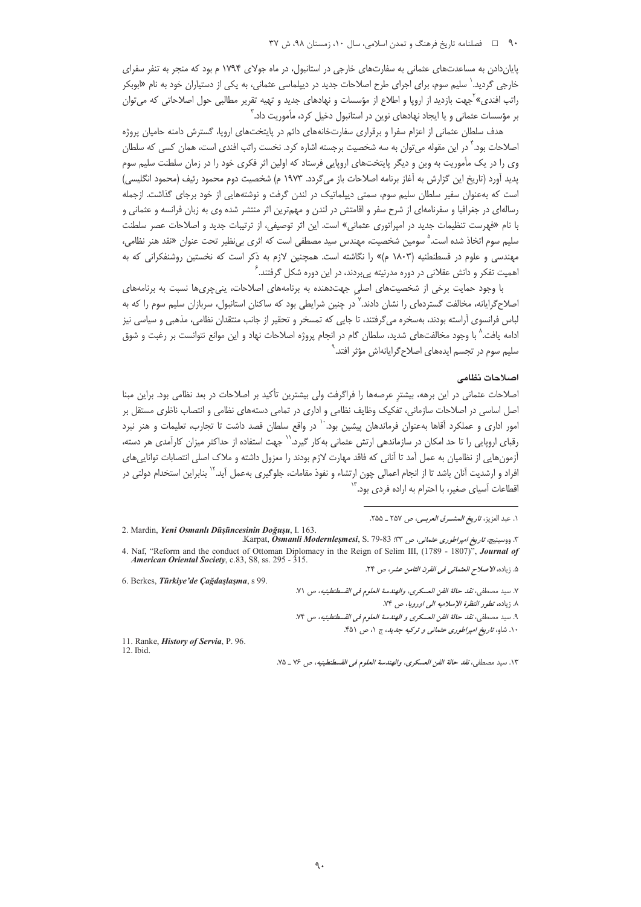### ۹۰ فصلنامه تاریخ فرهنگ و تمدن اسلامی، سال ۱۰، زمستان ۹۸، ش ۳۷

پایان دادن به مساعدتهای عثمانی به سفارتهای خارجی در استانبول، در ماه جولای ۱۷۹۴ م بود که منجر به تنفر سفرای خارجی گردید.<sup>٬</sup> سلیم سوم، برای اجرای طرح اصلاحات جدید در دیپلماسی عثمانی، به یکی از دستیاران خود به نام «ابوبکر راتب افندی»<sup>۲</sup>جهت بازدید از اروپا و اطلاع از مؤسسات و نهادهای جدید و تهیه تقریر مطالبی حول اصلاحاتی که می¤وان بر مؤسسات عثمانی و یا ایجاد نهادهای نوین در استانبول دخیل کرد، مأموریت داد. ّ

هدف سلطان عثمانی از اعزام سفرا و برقراری سفارتخانههای دائم در پایتختهای اروپا، گسترش دامنه حامیان پروژه اصلاحات بود." در این مقوله می توان به سه شخصیت برجسته اشاره کرد. نخست راتب افندی است، همان کسی که سلطان وی را در یک مأموریت به وین و دیگر پایتختهای اروپایی فرستاد که اولین اثر فکری خود را در زمان سلطنت سلیم سوم يديد آورد (تاريخ اين گزارش به آغاز برنامه اصلاحات باز مي گردد. ١٩٧٣ م) شخصيت دوم محمود رئيف (محمود انگليسي) است که بهعنوان سفیر سلطان سلیم سوم، سمتی دیپلماتیک در لندن گرفت و نوشتههایی از خود برجای گذاشت. ازجمله رسالهای در جغرافیا و سفرنامهای از شرح سفر و اقامتش در لندن و مهمترین اثر منتشر شده وی به زبان فرانسه و عثمانی و با نام «فهرست تنظيمات جديد در امپراتوري عثماني» است. اين اثر توصيفي، از ترتيبات جديد و اصلاحات عصر سلطنت سلیم سوم اتخاذ شده است.<sup>۵</sup> سومین شخصیت، مهندس سید مصطفی است که اثری بیiظیر تحت عنوان «نقد هنر نظامی، مهندسی و علوم در قسطنطنیه (۱۸۰۳ م)» را نگاشته است. همچنین لازم به ذکر است که نخستین روشنفکرانی که به اهمیت تفکر و دانش عقلانی در دوره مدرنیته پیِبردند، در این دوره شکل گرفتند.<sup>۶</sup>

با وجود حمایت برخی از شخصیتهای اصلی جهتدهنده به برنامههای اصلاحات، پنیچریها نسبت به برنامههای اصلاح گرایانه، مخالفت گستردهای را نشان دادند.<sup>۷</sup> در چنین شرایطی بود که ساکنان استانبول، سربازان سلیم سوم را که به لباس فرانسوی آراسته بودند، بهسخره میگرفتند، تا جایی که تمسخر و تحقیر از جانب منتقدان نظامی، مذهبی و سیاسی نیز ادامه یافت.^ با وجود مخالفتهای شدید، سلطان گام در انجام پروژه اصلاحات نهاد و این موانع نتوانست بر رغبت و شوق سلیم سوم در تجسم ایدههای اصلاحگرایانهاش مؤثر افتد.<sup>۹</sup>

#### اصلاحات نظامى

اصلاحات عثمانی در این برهه، بیشتر عرصهها را فراگرفت ولی بیشترین تأکید بر اصلاحات در بعد نظامی بود. براین مبنا اصل اساسی در اصلاحات سازمانی، تفکیک وظایف نظامی و اداری در تمامی دستههای نظامی و انتصاب ناظری مستقل بر امور اداری و عملکرد آقاها بهعنوان فرماندهان پیشین بود. `` در واقع سلطان قصد داشت تا تجارب، تعلیمات و هنر نبرد رقبای اروپایی را تا حد امکان در سازماندهی ارتش عثمانی بهکار گیرد.`` جهت استفاده از حداکثر میزان کارآمدی هر دسته، آزمونهایی از نظامیان به عمل آمد تا آنانی که فاقد مهارت لازم بودند را معزول داشته و ملاک اصلی انتصابات تواناییهای افراد و ارشدیت آنان باشد تا از انجام اعمالی چون ارتشاء و نفوذ مقامات، جلوگیری بهعمل آید.<sup>۱۲</sup> بنابراین استخدام دولتی در اقطاعات آسیای صغیر، با احترام به اراده فردی بود.<sup>۱۳</sup>

6. Berkes, Türkiye'de Cağdaşlaşma, s 99.

١. عبد العزيز، ت*اريخ المشرق العربي، ص* ٢٥٧ ـ ٢٥٥.

<sup>2.</sup> Mardin, Yeni Osmanlı Düşüncesinin Doğuşu, I. 163.

٣. ووسينيچ، تاري*خ امپراطوري عثماني*، ص ٣٣: Karpat, *Ösmanli Modernleşmesi*, S. 79-83. 4. Naf, "Reform and the conduct of Ottoman Diplomacy in the Reign of Selim III, (1789 - 1807)", Journal of American Oriental Society, c.83, S8, ss. 295 - 315. ۵. زياده، *الاصلاح العثماني في القرن الثامن عشر*، ص ٢۴.

٧. سيد مصطفى، نقد حالة الفن العسكرى، والهندسة العلوم في القسطنطينيه، ص ٧١.

٨. زياده، تطور النظرة الإسلاميه الى اوروبا، ص ٧٤.

٩. سيد مصطفى، *نقد حالة الفن العسكري و الهندسة العلوم في القسطنطينيه*، ص ٧۴.

۱۰. شاو، *تاریخ امپراطوری عثمانی و ترکیه جدید*، ج ۱، ص ۴۵۱.

<sup>11.</sup> Ranke, *History of Servia*, P. 96.

<sup>12.</sup> Ibid.

١٣. سيد مصطفى، نقد حالة الفن العسكرى، والهندسة العلوم في القسطنطينيه، ص ٧۶ \_ ٧٥.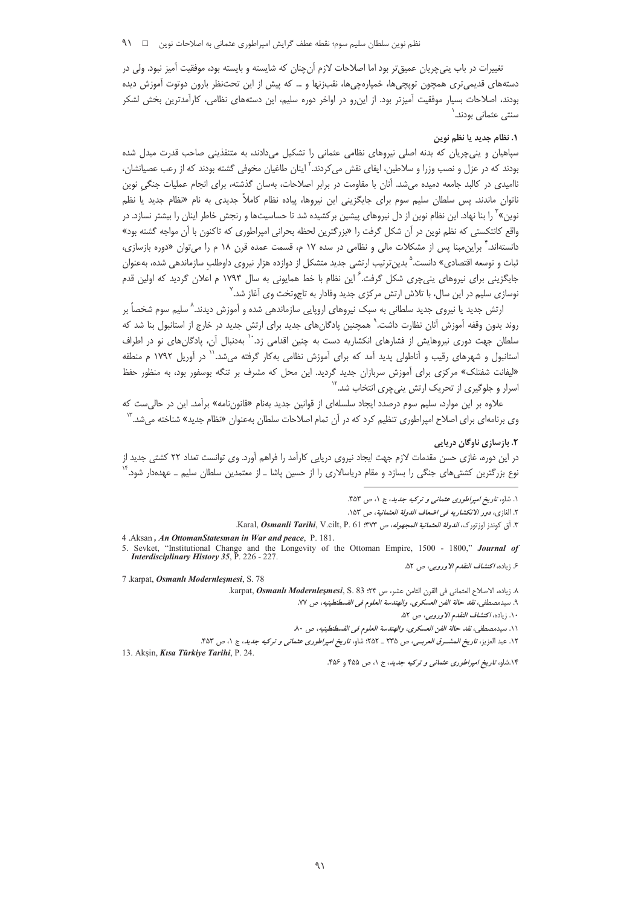تغییرات در باب پنیچریان عمیقتر بود اما اصلاحات لازم آنچنان که شایسته و بایسته بود، موفقیت آمیز نبود. ولی در دستههای قدیمی تری همچون توپچیها، خمپارهچیها، نقب زنها و … که پیش از این تحتنظر بارون دوتوت آموزش دیده بودند، اصلاحات بسیار موفقیت آمیزتر بود. از این٫رو در اواخر دوره سلیم، این دستههای نظامی، کارآمدترین بخش لشکر سنتی عثمانی بودند.

# ١. نظام حديد يا نظم نوين

سپاهیان و پنی چریان که بدنه اصلی نیروهای نظامی عثمانی را تشکیل میدادند، به متنفذینی صاحب قدرت مبدل شده بودند که در عزل و نصب وزرا و سلاطین، ایفای نقش می¢ددند.<sup>۲</sup> اینان طاغیان مخوفی گشته بودند که از رعب عصیانشان، ناامیدی در کالید جامعه دمیده می شد. آنان با مقاومت در برابر اصلاحات، بهسان گذشته، برای انجام عملیات جنگی نوین ناتوان ماندند. پس سلطان سلیم سوم برای جایگزینی این نیروها، پیاده نظام کاملاً جدیدی به نام «نظام جدید یا نظم نوین»<sup>۲</sup> را بنا نهاد. این نظام نوین از دل نیروهای پیشین برکشیده شد تا حساسیتها و رنجش خاطر اینان را بیشتر نسازد. در واقع كانتكستي كه نظم نوين در آن شكل گرفت را «بزرگترين لحظه بحراني امپراطوري كه تاكنون با آن مواجه گشته بود» دانستهاند.<sup>۴</sup> براین،مبنا یس از مشکلات مالی و نظامی در سده ۱۷ م، قسمت عمده قرن ۱۸ م را می¤وان «دوره بازسازی، ثبات و توسعه اقتصادی» دانست.<sup>۵</sup> بدینترتیب ارتشی جدید متشکل از دوازده هزار نیروی داوطلب سازماندهی شده، بهعنوان جایگزینی برای نیروهای ینیچری شکل گرفت.<sup>۶</sup> این نظام با خط همایونی به سال ۱۷۹۳ م اعلان گردید که اولین قدم نوسازی سلیم در این سال، با تلاش ارتش مرکزی جدید وفادار به تاج<sub>ا</sub>وتخت وی آغاز شد.<sup>۷</sup>

ارتش جدید یا نیروی جدید سلطانی به سبک نیروهای اروپایی سازماندهی شده و آموزش دیدند.<sup>۸</sup> سلیم سوم شخصاً بر روند بدون وقفه آموزش آنان نظارت داشت. ْ همچنین یادگان های جدید برای ارتش جدید در خارج از استانبول بنا شد که سلطان جهت دوری نیروهایش از فشارهای انکشاریه دست به چنین اقدامی زد. `` بهدنبال آن، یادگانهای نو در اطراف استانبول و شهرهای رقیب و آناطولی پدید آمد که برای آموزش نظامی بهکار گرفته میشد. ۱ در آوریل ۱۷۹۲ م منطقه «لیفانت شفتلک» مرکزی برای آموزش سربازان جدید گردید. این محل که مشرف بر تنگه بوسفور بود، به منظور حفظ اسرار و جلوگیری از تحریک ارتش ینیچری انتخاب شد.<sup>۱۲</sup>

علاوه بر این موارد، سلیم سوم درصدد ایجاد سلسلهای از قوانین جدید بهنام «قانوننامه» برآمد. این در حال*ی ست* که وی برنامهای برای اصلاح امپراطوری تنظیم کرد که در آن تمام اصلاحات سلطان بهعنوان «نظام جدید» شناخته می شد.<sup>۱۳</sup>

## ٢. بازسازی ناوگان دریایی

در این دوره، غازی حسن مقدمات لازم جهت ایجاد نیروی دریایی کارآمد را فراهم آورد. وی توانست تعداد ۲۲ کشتی جدید از نوع بزرگترین کشتیهای جنگی را بسازد و مقام دریاسالاری را از حسین پاشا ــ از معتمدین سلطان سلیم ــ عهدهدار شود. ٔ

7 .karpat, Osmanlı Modernleşmesi, S. 78

٨. زياده، الاصلاح العثماني في القرن الثامن عشر، ص ٢۴: karpat, Osmanlı Modernleşmesi, S. 83

13. Akşin, Kısa Türkiye Tarihi, P. 24.

۱۴.شاو، *تاریخ امپراطوری عثمانی و ترکیه جدید*، ج ۱، ص ۴۵۵ و ۴۵۶.

١. شاو، تاریخ امپراطوری عثمانی و ترکیه جدید، ج ١، ص ۴۵۳.

٢. الغازي، دور الانكشاريه في اضعاف الدولة العثمانية، ص ١٥٣.

٣. أق كوندز اوزتورك، *الدولة العثمانية المجهوله*، ص ٣٧٣: Karal, *Osmanli Tarihi*, V.cilt, P. 61.

<sup>4 .</sup>Aksan, An OttomanStatesman in War and peace, P. 181.

<sup>5.</sup> Sevket, "Institutional Change and the Longevity of the Ottoman Empire, 1500 - 1800," Journal of Interdisciplinary History 35, P. 226 - 227. ع زياده، *اكتشاف التقدم الاوروبي*، ص ۵۲.

٩. سيدمصطفى، *نقد حالة الفن العسكرى، والهندسة العلوم في القسطنطينيه*، ص ٧٧.

۰۱۰ زیاده، *اکتشاف التقدم الاوروبی*، ص ۵۲.

١١. سيدمصطفى، نقد حالة الفن العسكرى، والهندسة العلوم في القسطنطينيه، ص ٨٠.

١٢. عبد العزيز، تاريخ *المشـرق العربـي*، ص ٢٣٥ ـ ٢٥٢: شاو، ت*اريخ امپراطوري عثماني و تركيه جديد*، ج ١، ص ۴۵٣.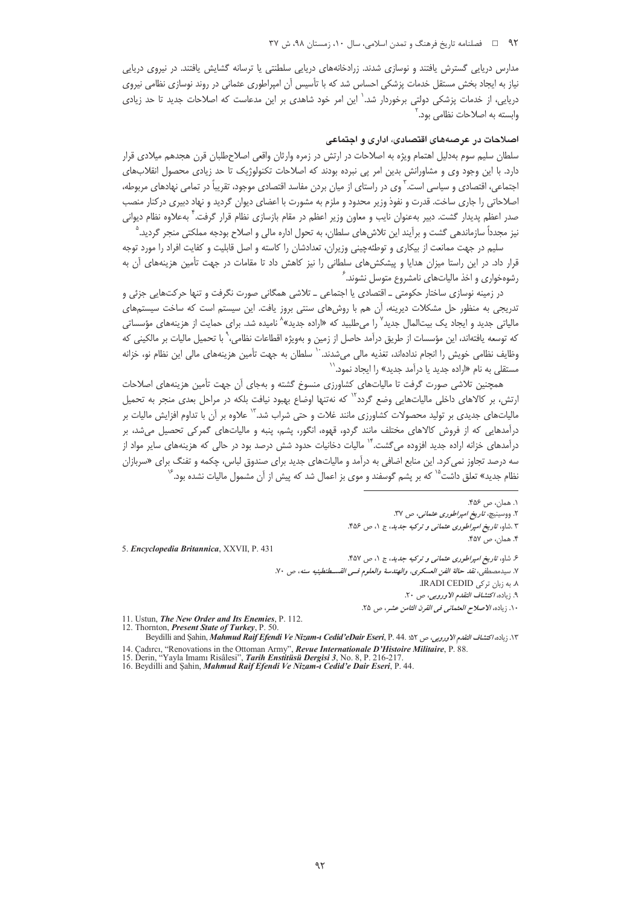#### ۹۲ = فصلنامه تاريخ فرهنگ و تمدن اسلامي، سال ۱۰، زمستان ۹۸، ش ۳۷

مدارس دریایی گسترش یافتند و نوسازی شدند. زرادخانههای دریایی سلطنتی یا ترسانه گشایش یافتند. در نیروی دریایی نیاز به ایجاد بخش مستقل خدمات پزشکی احساس شد که با تأسیس آن امپراطوری عثمانی در روند نوسازی نظامی نیروی دریایی، از خدمات پزشکی دولتی برخوردار شد.<sup>۱</sup> این امر خود شاهدی بر این مدعاست که اصلاحات جدید تا حد زیاد*ی* وابسته به اصلاحات نظامی بود.

# اصلاحات در عرصههای اقتصادی، اداری و اجتماعی

سلطان سلیم سوم بهدلیل اهتمام ویژه به اصلاحات در ارتش در زمره وارثان واقعی اصلاحطلبان قرن هجدهم میلادی قرار دارد. با این وجود وی و مشاورانش بدین امر پی نبرده بودند که اصلاحات تکنولوژیک تا حد زیادی محصول انقلابهای اجتماعی، اقتصادی و سیاسی است.<sup>۳</sup> وی در راستای از میان بردن مفاسد اقتصادی موجود، تقریباً در تمامی نهادهای مربوطه، اصلاحاتی را جاری ساخت. قدرت و نفوذ وزیر محدود و ملزم به مشورت با اعضای دیوان گردید و نهاد دبیری در کنار منصب صدر اعظم پدیدار گشت. دبیر بهعنوان نایب و معاون وزیر اعظم در مقام بازسازی نظام قرار گرفت.<sup>۴</sup> بهعلاوه نظام دیوانی نیز مجدداً سازماندهی گشت و برآیند این تلاش های سلطان، به تحول اداره مالی و اصلاح بودجه مملکتی منجر گردید.<sup>۵</sup>

سلیم در جهت ممانعت از بیکاری و توطئهچینی وزیران، تعدادشان را کاسته و اصل قابلیت و کفایت افراد را مورد توجه قرار داد. در این راستا میزان هدایا و پیشکشهای سلطانی را نیز کاهش داد تا مقامات در جهت تأمین هزینههای آن به رشوهخواری و اخذ مالیاتهای نامشروع متوسل نشوند. <sup>۲</sup>

در زمینه نوسازی ساختار حکومتی ـ اقتصادی یا اجتماعی ـ تلاشی همگانی صورت نگرفت و تنها حرکتهایی جزئی و تدریجی به منظور حل مشکلات دیرینه، آن هم با روشهای سنتی بروز یافت. این سیستم است که ساخت سیستمهای مالیاتی جدید و ایجاد یک بیتالمال جدید<sup>۷</sup> را میطلبید که «اراده جدید»<sup>۸</sup> نامیده شد. برای حمایت از هزینههای مؤسساتی كه توسعه يافتهاند، اين مؤسسات از طريق درآمد حاصل از زمين و بهويژه اقطاعات نظامى،' با تحميل ماليات بر مالكينى كه وظایف نظامی خویش را انجام ندادهاند، تغذیه مالی میشدند. `` سلطان به جهت تأمین هزینههای مالی این نظام نو، خزانه مستقلی به نام «اراده جدید یا درآمد جدید» را ایجاد نمود.<sup>\\</sup>

همچنین تلاشی صورت گرفت تا مالیاتهای کشاورزی منسوخ گشته و بهجای آن جهت تأمین هزینههای اصلاحات ارتش، بر کالاهای داخلی مالیاتهایی وضع گردد<sup>۱۲</sup> که نهتنها اوضاع بهبود نیافت بلکه در مراحل بعدی منجر به تحمیل مالیاتهای جدیدی بر تولید محصولات کشاورزی مانند غلات و حتی شراب شد.<sup>۱۳</sup> علاوه بر آن با تداوم افزایش مالیات بر درآمدهایی که از فروش کالاهای مختلف مانند گردو، قهوه، انگور، پشم، پنبه و مالیاتهای گمرکی تحصیل میشد، بر درآمدهای خزانه اراده جدید افزوده می¢شت.<sup>۱۴</sup> مالیات دخانیات حدود شش درصد بود در حالی که هزینههای سایر مواد از سه درصد تجاوز نمی کرد. این منابع اضافی به درآمد و مالیاتهای جدید برای صندوق لباس، چکمه و تفنگ برای «سربازان نظام جدید» تعلق داشت<sup>۱۵</sup> که بر پشم گوسفند و موی بز اعمال شد که پیش از آن مشمول مالیات نشده بود.<sup>۱۶</sup>

11. Ustun, The New Order and Its Enemies, P. 112.

12. Thornton, Present State of Turkey, P. 50.

١٣. زياده، اكتشاف التقدم الأوروبي، ص ٥٢. . Beydilli and Sahin, *Mahmud Raif Efendi Ve Nizam-ı Cedid'eDair Eseri*, P. 44. 14. Cadırcı, "Renovations in the Ottoman Army", Revue Internationale D'Histoire Militaire, P. 88.<br>15. Derin, "Yayla Imamı Risâlesi", Tarih Enstitüsü Dergisi 3, No. 8, P. 216-217.<br>16. Beydilli and Şahin, Mahmud Raif Efendi

١. همان، ص ۴۵۶. ۲. ووسینیچ، ت*اریخ امپراطوری عثمانی، ص* ۳۷. ۳.شاو، *تاریخ امپراطوری عثمانی و ترکیه جدید*، ج ۱، ص ۴۵۶. ۴. همان، ص ۴۵۷. 5. Encyclopedia Britannica, XXVII, P. 431 ۶. شاو، تاریخ *امپراطوری عثمانی و ترکیه جدید*، ج ۱، ص ۴۵۷. ٧. سيدمصطفى، نقد حالة الفن العسكرى، والهندسة والعلوم في القسطنطينيه سنه، ص ٧٠. ۸. به زبان ترکی IRADI CEDID. ۹. زياده، اكتشاف التقدم الاوروبي، ص ۲۰. ١٠. زياده، *الاصلاح العثماني في القرن الثامن عشر*، ص ٢۵.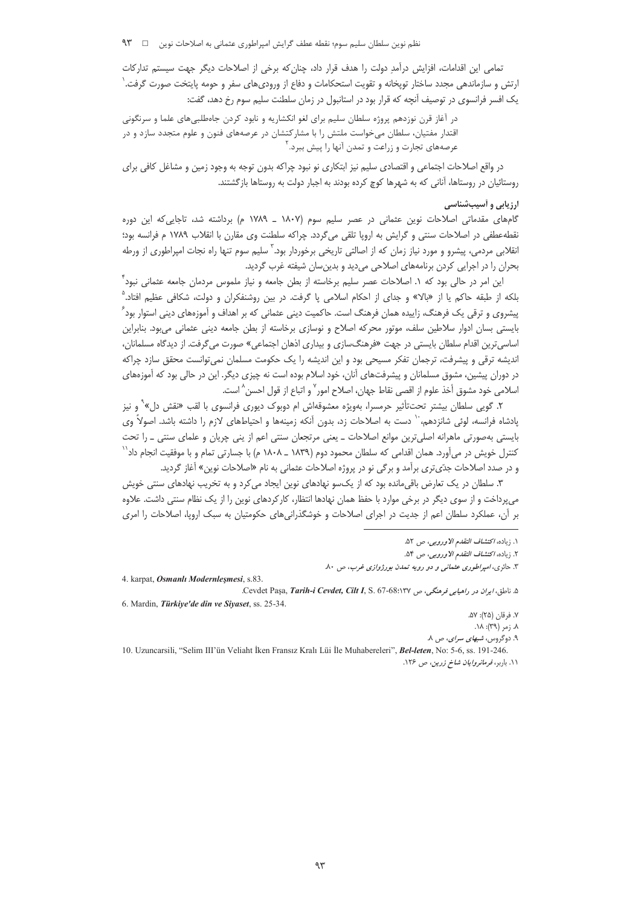تمامی این اقدامات، افزایش درآمدِ دولت را هدف قرار داد، چنان که برخی از اصلاحات دیگر جهت سیستم تدارکات ارتش و سازماندهی مجدد ساختار توپخانه و تقویت استحکامات و دفاع از ورودیهای سفر و حومه پایتخت صورت گرفت. ٰ یک افسر فرانسوی در توصیف آنچه که قرار بود در استانبول در زمان سلطنت سلیم سوم رخ دهد، گفت:

در آغاز قرن نوزدهم پروژه سلطان سلیم برای لغو انکشاریه و نابود کردن جاهطلبی،های علما و سرنگونی اقتدار مفتیان، سلطان میخواست ملتش را با مشارکتشان در عرصههای فنون و علوم متجدد سازد و در عرصههای تجارت و زراعت و تمدن آنها را پیش ببرد. `

در واقع اصلاحات اجتماعي و اقتصادي سليم نيز ابتكاري نو نبود چراكه بدون توجه به وجود زمين و مشاغل كافي براي روستائیان در روستاها، آنانی که به شهرها کوچ کرده بودند به اجبار دولت به روستاها بازگشتند.

## ارزیابی و آسیبشناسی

گامهای مقدماتی اصلاحات نوین عثمانی در عصر سلیم سوم (۱۸۰۷ ـ ۱۷۸۹ م) برداشته شد، تاجایی که این دوره نقطهعطفی در اصلاحات سنتی و گرایش به اروپا تلقی میگردد. چراکه سلطنت وی مقارن با انقلاب ۱۷۸۹ م فرانسه بود؛ انقلابی مردمی، پیشرو و مورد نیاز زمان که از اصالتی تاریخی برخوردار بود. ٔ سلیم سوم تنها راه نجات امپراطوری از ورطه بحران را در اجرایی کردن برنامههای اصلاحی میدید و بدین سان شیفته غرب گردید.

این امر در حالی بود که ۱. اصلاحات عصر سلیم برخاسته از بطن جامعه و نیاز ملموس مردمان جامعه عثمانی نبود ٌ بلکه از طبقه حاکم یا از «بالا» و جدای از احکام اسلامی پا گرفت. در بین روشنفکران و دولت، شکافی عظیم افتاد.<sup>۵</sup> پیشروی و ترقی یک فرهنگ، زاییده همان فرهنگ است. حاکمیت دینی عثمانی که بر اهداف و آموزههای دینی استوار بود ً بایستی بسان ادوار سلاطین سلف، موتور محرکه اصلاح و نوسازی برخاسته از بطن جامعه دینی عثمانی میبود. بنابراین اساسی ترین اقدام سلطان بایستی در جهت «فرهنگسازی و بیداری اذهان اجتماعی» صورت می گرفت. از دیدگاه مسلمانان، اندیشه ترقی و پیشرفت، ترجمان تفکر مسیحی بود و این اندیشه را یک حکومت مسلمان نمی¤وانست محقق سازد چراکه در دوران پیشین، مشوق مسلمانان و پیشرفتهای آنان، خود اسلام بوده است نه چیزی دیگر. این در حالی بود که آموزههای اسلامي خود مشوق أخذ علوم از اقصى نقاط جهان، اصلاح امور<sup>٧</sup> و اتباع از قول احسن^ است.

۲. گویی سلطان بیشتر تحت¤ئیر حرمسرا، بهویژه معشوقهاش ام دوبوک دیوری فرانسوی با لقب «نقش دل»<sup>۹</sup> و نیز یادشاه فرانسه، لوئ<sub>ی</sub> شانزدهم، `` دست به اصلاحات زد، بدون آنکه زمینهها و احتیاطهای لازم را داشته باشد. اصولاً وی بایستی بهصورتی ماهرانه اصلی¤رین موانع اصلاحات ــ یعنی مرتجعان سنتی اعم از پنی چریان و علمای سنتی ــ را تحت کنترل خویش در میآورد. همان اقدامی که سلطان محمود دوم (۱۸۳۹ ـ ۱۸۰۸ م) با جسارتی تمام و با موفقیت انجام داد $^{\prime\prime}$ و در صدد اصلاحات جدّىترى برآمد و برگى نو در پروژه اصلاحات عثمانى به نام «اصلاحات نوين» آغاز گرديد.

۳. سلطان در یک تعارض باقی مانده بود که از یکسو نهادهای نوین ایجاد می کرد و به تخریب نهادهای سنتی خویش میپرداخت و از سوی دیگر در برخی موارد با حفظ همان نهادها انتظار، کارکردهای نوین را از یک نظام سنتی داشت. علاوه بر آن، عملکرد سلطان اعم از جدیت در اجرای اصلاحات و خوشگذرانیهای حکومتیان به سبک اروپا، اصلاحات را امری

4. karpat, Osmanlı Modernleşmesi, s.83.

10. Uzuncarsili, "Selim III'ün Veliaht İken Fransız Kralı Lüi İle Muhabereleri", Bel-leten, No: 5-6, ss. 191-246. ۰۱۱ باربر، *فرمانروایان شاخ زرین*، ص ۱۲۶.

١. زياده، *اكتشاف التقدم الاوروبي*، ص ٥٢.

٢. زياده، *اكتشاف التقدم الاوروبي*، ص ٥۴.

۳. حائری، *امپراطوری عثمانی و دو رویه تمدن بورژوازی غرب*، ص ۸۰.

۵. ناطق، ایران در راهیابی فرهنگی، ص ۲۳/:68-67 .Cevdet Paşa, Tarih-i Cevdet, Cilt I, S. 6. Mardin, Türkiye'de din ve Siyaset, ss. 25-34.

٧. فرقان (٢۵): ۵٧.

 $\lambda$ .  $(\alpha_1 \mid \beta^{\alpha_1})$ : ۱۸.

۹. دوگروس، شبهای سرای، ص ۸.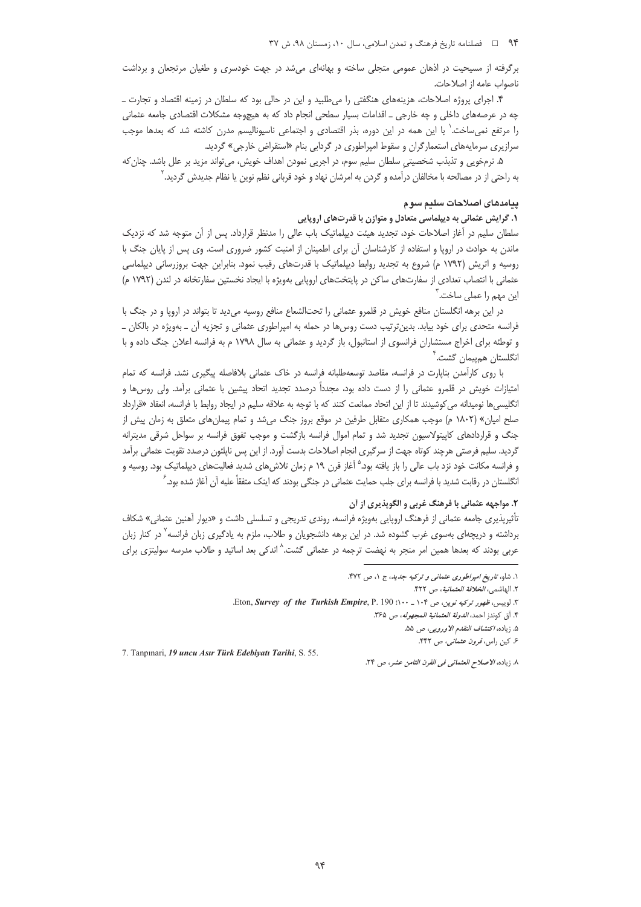برگرفته از مسیحیت در اذهان عمومی متجلی ساخته و بهانهای میشد در جهت خودسری و طغیان مرتجعان و برداشت ناصواب عامه از اصلاحات.

۴. اجرای پروژه اصلاحات، هزینههای هنگفتی را میطلبید و این در حالی بود که سلطان در زمینه اقتصاد و تجارت \_ چه در عرصههای داخلی و چه خارجی ـ اقدامات بسیار سطحی انجام داد که به هیچوجه مشکلات اقتصادی جامعه عثمانی را مرتفع نمیٍساخت.' با این همه در این دوره، بذر اقتصادی و اجتماعی ناسیونالیسم مدرن کاشته شد که بعدها موجب سرازیری سرمایههای استعمارگران و سقوط امپراطوری در گردابی بنام «استقراض خارجی» گردید.

۵. نرمخویی و تذبذب شخصیتی سلطان سلیم سوم، در اجریی نمودن اهداف خویش، می¤واند مزید بر علل باشد. چنان که به راحتی از در مصالحه با مخالفان درآمده و گردن به امرشان نهاد و خود قربانی نظم نوین یا نظام جدیدش گردید. <sup>٬</sup>

# ييامدهاى اصلاحات سليم سوم

## ۱. گرایش عثمانی به دیپلماسی متعادل و متوازن با قدرتهای اروپایی

سلطان سلیم در آغاز اصلاحات خود، تجدید هیئت دیپلماتیک باب عالی را مدنظر قرارداد. پس از آن متوجه شد که نزدیک ماندن به حوادث در اروپا و استفاده از کارشناسان آن برای اطمینان از امنیت کشور ضروری است. وی پس از پایان جنگ با روسیه و اتریش (۱۷۹۲ م) شروع به تجدید روابط دیپلماتیک با قدرتهای رقیب نمود. بنابراین جهت بروزرسانی دیپلماسی عثمانی با انتصاب تعدادی از سفارتهای ساکن در پایتختهای اروپایی بهویژه با ایجاد نخستین سفارتخانه در لندن (۱۷۹۲ م) این مهم را عملی ساخت.<sup>۳</sup>

در این برهه انگلستان منافع خویش در قلمرو عثمانی را تحتالشعاع منافع روسیه میدید تا بتواند در اروپا و در جنگ با فرانسه متحدی برای خود بیابد. بدین ترتیب دست روس ها در حمله به امپراطوری عثمانی و تجزیه آن ـ بهویژه در بالکان ـ و توطئه برای اخراج مستشاران فرانسوی از استانبول، باز گردید و عثمانی به سال ۱۷۹۸ م به فرانسه اعلان جنگ داده و با انگلستان هم<sub>ا</sub>ییما<sub>ن</sub> گشت.<sup>۴</sup>

با روی کارآمدن بناپارت در فرانسه، مقاصد توسعهطلبانه فرانسه در خاک عثمانی بلافاصله پیگیری نشد. فرانسه که تمام امتیازات خویش در قلمرو عثمانی را از دست داده بود، مجدداً درصدد تجدید اتحاد پیشین با عثمانی برآمد. ولی روس ها و انگلیسیها نومیدانه می کوشیدند تا از این اتحاد ممانعت کنند که با توجه به علاقه سلیم در ایجاد روابط با فرانسه، انعقاد «قرارداد صلح امیان» (۱۸۰۲ م) موجب همکاری متقابل طرفین در موقع بروز جنگ می شد و تمام پیمان های متعلق به زمان پیش از جنگ و قراردادهای کاپیتولاسیون تجدید شد و تمام اموال فرانسه بازگشت و موجب تفوق فرانسه بر سواحل شرقی مدیترانه گردید. سلیم فرصتی هرچند کوتاه جهت از سرگیری انجام اصلاحات بدست آورد. از این پس ناپلئون درصدد تقویت عثمانی برآمد و فرانسه مکانت خود نزد باب عالی را باز یافته بود.<sup>۵</sup> آغاز قرن ۱۹ م زمان تلاش های شدید فعالیتهای دیپلماتیک بود. روسیه و انگلستان در رقابت شدید با فرانسه برای جلب حمایت عثمانی در جنگی بودند که اینک متفقاً علیه آن آغاز شده بود.<sup>۶</sup>

## ۲. مواجهه عثمانی با فرهنگ غربی و الگوپذیری از آن

تأثیرپذیری جامعه عثمانی از فرهنگ اروپایی بهویژه فرانسه، روندی تدریجی و تسلسلی داشت و «دیوار آهنین عثمانی» شکاف برداشته و دریچهای بهسوی غرب گشوده شد. در این برهه دانشجویان و طلاب، ملزم به یادگیری زبان فرانسه<sup>۷</sup> در کنار زبان عربی بودند که بعدها همین امر منجر به نهضت ترجمه در عثمانی گشت.<sup>^</sup> اندکی بعد اساتید و طلاب مدرسه سولیتزی برای

7. Tanpınari, 19 uncu Asır Türk Edebiyatı Tarihi, S. 55.

٨. زياده، *الاصلاح العثماني في القرن الثامن عشر*، ص ٢۴.

۱. شاو، ت*اریخ امپراطوری عثمانی و ترکیه جدید*، ج ۱، ص ۴۷۲.

٢. الهاشمي، *الخلافة العثمانية*، ص ۴۲۲.

۳. لوییس، ظهور ترکیه نوین، ص ۱۰۴ - ۱۰۰: Eton, Survey of the Turkish Empire, P. 190.

۴. أق كوندز احمد، *الدولة العثمانية المجهوله*، ص ۳۶۵.

۵. زياده، *اكتشاف التقدم الاوروبي*، ص ۵۵.

۶. کین راس، *قرون عثمانی*، ص ۴۴۲.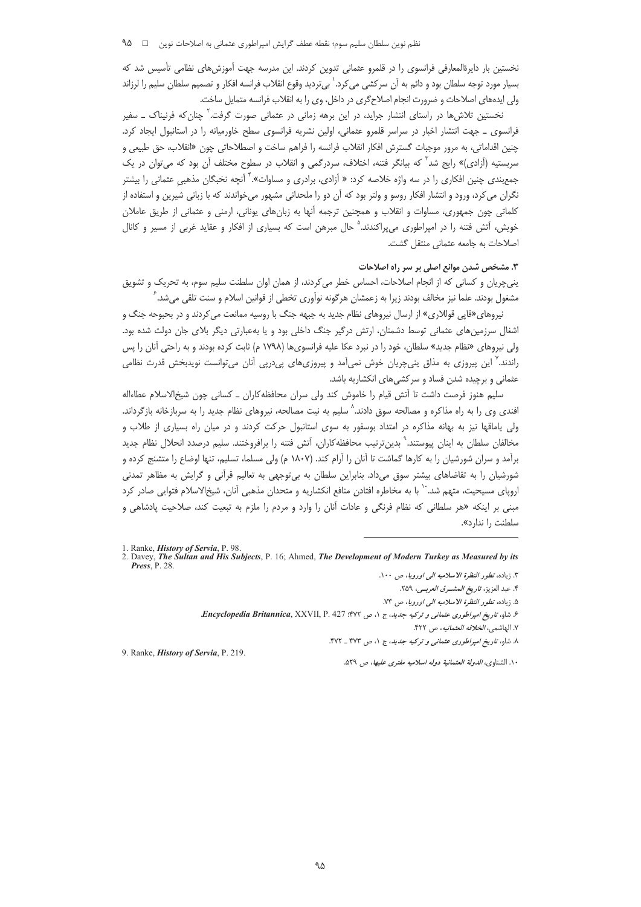نخستین بار دایرةالمعارفی فرانسوی را در قلمرو عثمانی تدوین کردند. این مدرسه جهت آموزش های نظامی تأسیس شد که بسیار مورد توجه سلطان بود و دائم به آن سرکشی می¢د.` بیتردید وقوع انقلاب فرانسه افکار و تصمیم سلطان سلیم را لرزاند ولی ایدههای اصلاحات و ضرورت انجام اصلاح گری در داخل، وی را به انقلاب فرانسه متمایل ساخت.

نخستین تلاشها در راستای انتشار جراید، در این برهه زمانی در عثمانی صورت گرفت.<sup>۲</sup> چنان که فرنیناک ــ سفیر فرانسوی ـ جهت انتشار اخبار در سراسر قلمرو عثمانی، اولین نشریه فرانسوی سطح خاورمیانه را در استانبول ایجاد کرد. چنین اقداماتی، به مرور موجبات گسترش افکار انقلاب فرانسه را فراهم ساخت و اصطلاحاتی چون «انقلاب، حق طبیعی و سربستیه (آزادی)» رایج شد<sup>۲</sup> که بیانگر فتنه، اختلاف، سردرگمی و انقلاب در سطوح مختلف آن بود که می¤وان در یک جمع بندی چنین افکاری را در سه واژه خلاصه کرد: « آزادی، برادری و مساوات».<sup>۴</sup> آنچه نخبگان مذهبی عثمانی را بیشتر نگران می کرد، ورود و انتشار افکار روسو و ولتر بود که آن دو را ملحدانی مشهور می خواندند که با زبانی شیرین و استفاده از کلماتی چون جمهوری، مساوات و انقلاب و همچنین ترجمه آنها به زبانهای یونانی، ارمنی و عثمانی از طریق عاملان خویش، آتش فتنه را در امپراطوری میپراکندند.<sup>۵</sup> حال مبرهن است که بسیاری از افکار و عقاید غربی از مسیر و کانال اصلاحات به جامعه عثمانی منتقل گشت.

## ۳. مشخص شدن موانع اصلی بر سر راه اصلاحات

پنے،چرپان و کسانی که از انجام اصلاحات، احساس خطر می کردند، از همان اوان سلطنت سلیم سوم، به تحریک و تشویق مشغول بودند. علما نیز مخالف بودند زیرا به زعمشان هرگونه نوآوری تخطی از قوانین اسلام و سنت تلقی می شد. ً

نیروهای«قاپی قوللاری» از ارسال نیروهای نظام جدید به جبهه جنگ با روسیه ممانعت می کردند و در بحبوحه جنگ و اشغال سرزمینهای عثمانی توسط دشمنان، ارتش درگیر جنگ داخلی بود و یا بهعبارتی دیگر بلای جان دولت شده بود. ولی نیروهای «نظام جدید» سلطان، خود را در نبرد عکا علیه فرانسویها (۱۷۹۸ م) ثابت کرده بودند و به راحتی آنان را پس راندند.<sup>۷</sup> این پیروزی به مذاق ینیچریان خوش نمیآمد و پیروزیهای پیدرپی آنان میتوانست نویدبخش قدرت نظامی عثمانی و برچیده شدن فساد و سرکشی های انکشاریه باشد.

سلیم هنوز فرصت داشت تا آتش قیام را خاموش کند ولی سران محافظه کاران ـ کسانی چون شیخ الاسلام عطاءاله افندی وی را به راه مذاکره و مصالحه سوق دادند.^ سلیم به نیت مصالحه، نیروهای نظام جدید را به سربازخانه بازگرداند. ولی یاماقها نیز به بهانه مذاکره در امتداد بوسفور به سوی استانبول حرکت کردند و در میان راه بسیاری از طلاب و مخالفان سلطان به اینان پیوستند.<sup>۹</sup> بدینترتیب محافظه کاران، آتش فتنه را برافروختند. سلیم درصدد انحلال نظام جدید برآمد و سران شورشیان را به کارها گماشت تا آنان را آرام کند. (۱۸۰۷ م) ولی مسلما، تسلیم، تنها اوضاع را متشنج کرده و شورشیان را به تقاضاهای بیشتر سوق میداد. بنابراین سلطان به بیتوجهی به تعالیم قرأنی و گرایش به مظاهر تمدنی اروپای مسیحیت، متهم شد.<sup>۱۰</sup> با به مخاطره افتادن منافع انکشاریه و متحدان مذهبی آنان، شیخالاسلام فتوایی صادر کرد مبنی بر اینکه «هر سلطانی که نظام فرنگی و عادات آنان را وارد و مردم را ملزم به تبعیت کند، صلاحیت پادشاهی و سلطنت ,ا ندا<sub>ر</sub> د».

۴. عبد العزيز، ت*اريخ المشرق العربي*، ٢٥٩.

9. Ranke, *History of Servia*, P. 219.

١٠. الشناوى، *الدولة العثمانية دوله اسلاميه مفترى عليها*، ص ٥٢٩.

<sup>1.</sup> Ranke, *History of Servia*, P. 98.

<sup>2.</sup> Davey, The Sultan and His Subjects, P. 16; Ahmed, The Development of Modern Turkey as Measured by its Press,  $P. 28$ .

٣. زياده، تط*ور النظرة الاسلاميه الى اوروبا*، ص ١٠٠.

۵. زياده، تطور النظرة الاسلاميه الى اوروبا، ص ٧٣.

۶. شاو، تاریخ *امپراطوری عثمانی و ترکیه جدید*، ج ۱، ص ۴۷۲: Encyclopedia Britannica, XXVII, P. 427.

٧. الهاشمي، *الخلافه العثمانيه*، ص ۴۲۲.

۸. شاو، *تاریخ امپراطوری عثمانی و ترکیه جدید*، ج ۱، ص ۴۷۳ ـ ۴۷۲.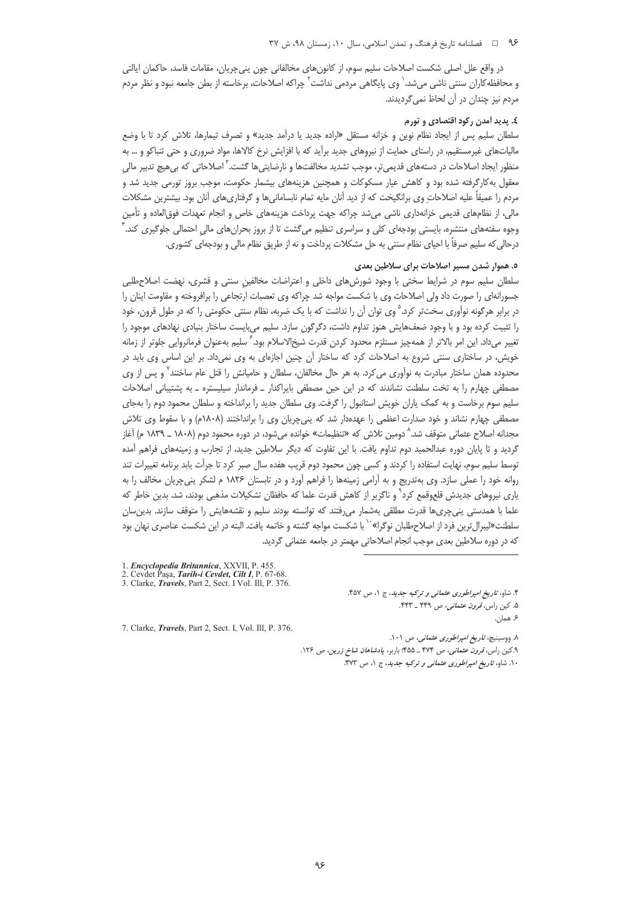### ۹۶ = فصلنامه تاریخ فرهنگ و تمدن اسلامی، سال ۱۰، زمستان ۹۸، ش ۳۷

در واقع علل اصلی شکست اصلاحات سلیم سوم، از کانون های مخالفانی چون پنی چرپان، مقامات فاسد، حاکمان ایالتی و محافظه کاران سنتی ناشی میشد.<sup>٬</sup> وی پایگاهی مردمی نداشت<sup>۲</sup> چراکه اصلاحات، برخاسته از بطن جامعه نبود و نظر مردم مردم نیز چندان در آن لحاظ نمی گردیدند.

# ٤. پديد آمدن رکود اقتصادي و تورم

سلطان سلیم پس از ایجاد نظام نوین و خزانه مستقل «اراده جدید یا درآمد جدید» و تصرف تیمارها، تلاش کرد تا با وضع مالیاتهای غیرمستقیم، در راستای حمایت از نیروهای جدید برآید که با افزایش نرخ کالاها، مواد ضروری و حتی تنباکو و … به منظور ایجاد اصلاحات در دستههای قدیمیتر، موجب تشدید مخالفتها و نارضایتیها گشت.<sup>٬</sup> اصلاحاتی که بیهیچ تدبیر مالی معقول به کارگرفته شده بود و کاهش عیار مسکوکات و همچنین هزینههای بیشمار حکومت، موجب بروز تورمی جدید شد و مردم را عمیقاً علیه اصلاحات وی برانگیخت که از دید آنان مایه تمام نابسامانی ها و گرفتاری های آنان بود. بیشترین مشکلات مالي، از نظامهاي قديمي خزانهداري ناشي ميشد چراكه جهت پرداخت هزينههاي خاص و انجام تعهدات فوق|لعاده و تأمين وجوه سفتههای منتشره، بایستی بودجهای کلی و سراسری تنظیم میگشت تا از بروز بحرانِهای مالی احتمالی جلوگیری کند. ٰ درحالي كه سليم صرفاً با احياي نظام سنتي به حل مشكلات پرداخت و نه از طريق نظام مالي و بودجهاي كشوري.

## ٥. هموار شدن مسیر اصلاحات برای سلاطین بعدی

سلطان سلیم سوم در شرایط سختی با وجود شورش های داخلی و اعتراضات مخالفین سنتی و قشری، نهضت اصلاحطلبی جسورانهای را صورت داد ولی اصلاحات وی با شکست مواجه شد چراکه وی تعصبات ارتجاعی را برافروخته و مقاومت اینان را در برابر هرگونه نوآوری سختتر کرد.<sup>۵</sup> وی توان آن را نداشت که با یک ضربه، نظام سنتی حکومتی را که در طول قرون، خود را تثبیت کرده بود و با وجود ضعفهایش هنوز تداوم داشت، دگرگون سازد. سلیم میبایست ساختار بنیادی نهادهای موجود را تغيير مىداد. اين امر بالاتر از همهچيز مستلزم محدود كردن قدرت شيخالاسلام بود.<sup>۶</sup> سليم بهعنوان فرمانروايى جلوتر از زمانه خویش، در ساختاری سنتی شروع به اصلاحات کرد که ساختار آن چنین اجازهای به وی نمیداد. بر این اساس وی باید در محدوده همان ساختار مبادرت به نوآوری می کرد. به هر حال مخالفان، سلطان و حامیانش را قتل عام ساختند<sup>۷</sup> و پس از وی مصطفی چهارم را به تخت سلطنت نشاندند که در این حین مصطفی بایراکدار ـ فرماندار سیلیستره ـ به پشتیبانی اصلاحات سلیم سوم برخاست و به کمک یاران خویش استانبول را گرفت. وی سلطان جدید را برانداخته و سلطان محمود دوم را بهجای مصطفی چهارم نشاند و خود صدارت اعظمی را عهدهدار شد که پنی چریان وی را برانداختند (۱۸۰۸م) و با سقوط وی تلاش مجدانه اصلاح عثماني متوقف شد.^ دومين تلاش كه «تنظيمات» خوانده مي شود، در دوره محمود دوم (١٨٠٨ ـ ١٨٣٩ م) آغاز گردید و تا پایان دوره عبدالحمید دوم تداوم یافت. با این تفاوت که دیگر سلاطین جدید، از تجارب و زمینههای فراهم آمده توسط سلیم سوم، نهایت استفاده را کردند و کسی چون محمود دوم قریب هفده سال صبر کرد تا جرأت یابد برنامه تغییرات تند روانه خود را عملی سازد. وی بهتدریج و به آرامی زمینهها را فراهم آورد و در تابستان ۱۸۲۶ م لشکر پنیچریان مخالف را به یاری نیروهای جدیدش قلعوقمع کرد` و ناگزیر از کاهش قدرت علما که حافظان تشکیلات مذهبی بودند، شد. بدین خاطر که علما با همدستی ینیچریها قدرت مطلقی بهشمار می(فتند که توانسته بودند سلیم و نقشههایش را متوقف سازند. بدینِسان سلطنت«ليبرالترين فرد از اصلاحطلبان نوگرا»<sup>٠٠</sup> با شكست مواجه گشته و خاتمه يافت. البته در اين شكست عناصري نهان بود که در دوره سلاطین بعدی موجب انجام اصلاحاتی مهمتر در جامعه عثمانی گردید.

1. Encyclopedia Britannica, XXVII, P. 455.

3. Clarke, *Travels*, Part 2, Sect. I Vol. III, P. 376.

7. Clarke, Travels, Part 2, Sect. I, Vol. Ill, P. 376.

۴. شاو، تاریخ امپراطوری عثمانی و ترکیه جدید، ج ۱، ص ۴۵۷. ۵. کین راس، *قرون عثمانی*، ص ۴۴۹ ـ ۴۴۳.

ء<br>همان

٨. ووسينيچ، تاريخ اميراطوري عثماني، ص ١٠١. ۹.کین راس، *قرون عثمانی*، ص ۴۷۴ ـ ۴۵۵: باربر، *پادشاهان شاخ زرین*، ص ۱۲۶. ۱۰. شاو، تاریخ امپراطوری عثمانی و ترکیه جدید، ج ۱، ص ۴۷۳.

<sup>2.</sup> Cevdet Pasa, Tarih-i Cevdet, Cilt I, P. 67-68.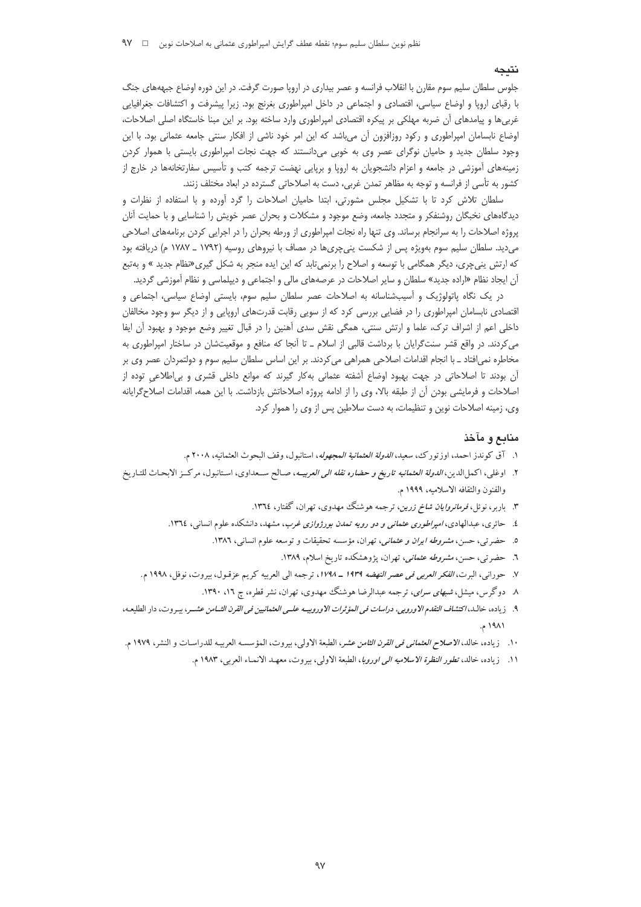### نتىحە

جلوس سلطان سلیم سوم مقارن با انقلاب فرانسه و عصر بیداری در اروپا صورت گرفت. در این دوره اوضاع جبهههای جنگ با رقبای اروپا و اوضاع سیاسی، اقتصادی و اجتماعی در داخل امپراطوری بغرنج بود. زیرا پیشرفت و اکتشافات جغرافیایی غربیها و پیامدهای آن ضربه مهلکی بر پیکره اقتصادی امپراطوری وارد ساخته بود. بر این مبنا خاستگاه اصلی اصلاحات، اوضاع نابسامان امپراطوری و رکود روزافزون آن میباشد که این امر خود ناشی از افکار سنتی جامعه عثمانی بود. با این وجود سلطان جدید و حامیان نوگرای عصر وی به خوبی میدانستند که جهت نجات امپراطوری بایستی با هموار کردن زمینههای آموزشی در جامعه و اعزام دانشجویان به اروپا و برپایی نهضت ترجمه کتب و تأسیس سفارتخانهها در خارج از کشور به تأسی از فرانسه و توجه به مظاهر تمدن غربی، دست به اصلاحاتی گسترده در ابعاد مختلف زنند.

سلطان تلاش کرد تا با تشکیل مجلس مشورتی، ابتدا حامیان اصلاحات را گرد آورده و با استفاده از نظرات و دیدگاههای نخبگان روشنفکر و متجدد جامعه، وضع موجود و مشکلات و بحران عصر خویش را شناسایی و با حمایت آنان پروژه اصلاحات را به سرانجام برساند. وی تنها راه نجات امپراطوری از ورطه بحران را در اجرایی کردن برنامههای اصلاحی می دید. سلطان سلیم سوم بهویژه پس از شکست ینی چری ها در مصاف با نیروهای روسیه (۱۷۹۲ ـ ۱۷۸۷ م) دریافته بود که ارتش ینیچری، دیگر همگامی با توسعه و اصلاح را برنمیتابد که این ایده منجر به شکل گیری«نظام جدید » و بهتبع آن ایجاد نظام «اراده جدید» سلطان و سایر اصلاحات در عرصههای مالی و اجتماعی و دیپلماسی و نظام آموزشی گردید.

در یک نگاه پاتولوژیک و آسیبشناسانه به اصلاحات عصر سلطان سلیم سوم، بایستی اوضاع سیاسی، اجتماعی و اقتصادی نابسامان امپراطوری را در فضایی بررسی کرد که از سویی رقابت قدرتهای اروپایی و از دیگر سو وجود مخالفان داخلی اعم از اشراف ترک، علما و ارتش سنتی، همگی نقش سدی آهنین را در قبال تغییر وضع موجود و بهبود آن ایفا می کردند. در واقع قشر سنت گرایان با برداشت قالبی از اسلام ـ تا آنجا که منافع و موقعیتشان در ساختار امپراطوری به مخاطره نمی|فتاد ـ با انجام اقدامات اصلاحی همراهی می کردند. بر این اساس سلطان سلیم سوم و دولتمردان عصر وی بر آن بودند تا اصلاحاتی در جهت بهبود اوضاع آشفته عثمانی بهکار گیرند که موانع داخلی قشری و بیاطلاعی توده از اصلاحات و فرمايشي بودن آن از طبقه بالا، وي را از ادامه پروژه اصلاحاتش بازداشت. با اين همه، اقدامات اصلاح گرايانه وی، زمینه اصلاحات نوین و تنظیمات، به دست سلاطین پس از وی را هموار کرد.

### منابع و مآخذ

- ١. آق كوندز احمد، اوزتورك، سعيد، *الدولة العثمانية المجهوله*، استانبول، وقف البحوث العثمانيه، ٢٠٠٨ م.
- ٢. اوغلبي، اكمل[الدين، *الدولة العثمانيه تاريخ و حضاره نقله الى العربيسه*، صـالح ســعداوي، اسـتانبول، مركــز الابحـاث للتـاريخ والفنون والثقافه الاسلاميه، ١٩٩٩ م.
	- ۳. باربر، نوئل، *فرمانروایان شاخ زرین*، ترجمه هوشنگ مهدوی، تهران، گفتار، ۱۳٦٤.
	- ٤. حائری، عبدالهادی، *امپراطوری عثمانی و دو رویه تمدن بورژوازی غرب*، مشهد، دانشکده علوم انسانی، ١٣٦٤.
		- ٥. حضرتي، حسن، *مشروطه ايران و عثماني*، تهران، مؤسسه تحقيقات و توسعه علوم انساني، ١٣٨٦.
			- ٦. حضرتی، حسن، *مشروطه عثمانی، ته*ران، پژوهشکده تاریخ اسلام، ۱۳۸۹.
	- ٧. حوراني، البرت، *الفكر العربي في عصر النهضه ١٩٣٩ ـ ١٧٩٨*، ترجمه الى العربيه كريم عز قـول، بيروت، نوفل، ١٩٩٨ م.
		- ۸ دوگرس، میشل، *شبهای سرای*، ترجمه عبدالرضا هوشنگ مهدوی، تهران، نشر قطره، ج ۱۲، ۱۳۹۰.
- ٩. زياده، خالـد، *اكتشاف التقدم الاوروبي، دراسات في المؤثرات الاوروبيـه علـي العثمانيين في القرن الثــامن عشــر، يبـروت، دا*ر الطليعـه، ۱۹۸۱ م.
- ١٠. زياده، خالد، *الاصلاح العثماني في القرن الثامن عشر*، الطبعة الاولى، بيروت، المؤسسه العربيه للدراسـات و النشر، ١٩٧٩ م.
	- ١١. زياده، خالد، تط*ور النظرة الاسلاميه الى اوروبا*، الطبعة الأولى، بيروت، معهـد الانمـاء العربي، ١٩٨٣ م.